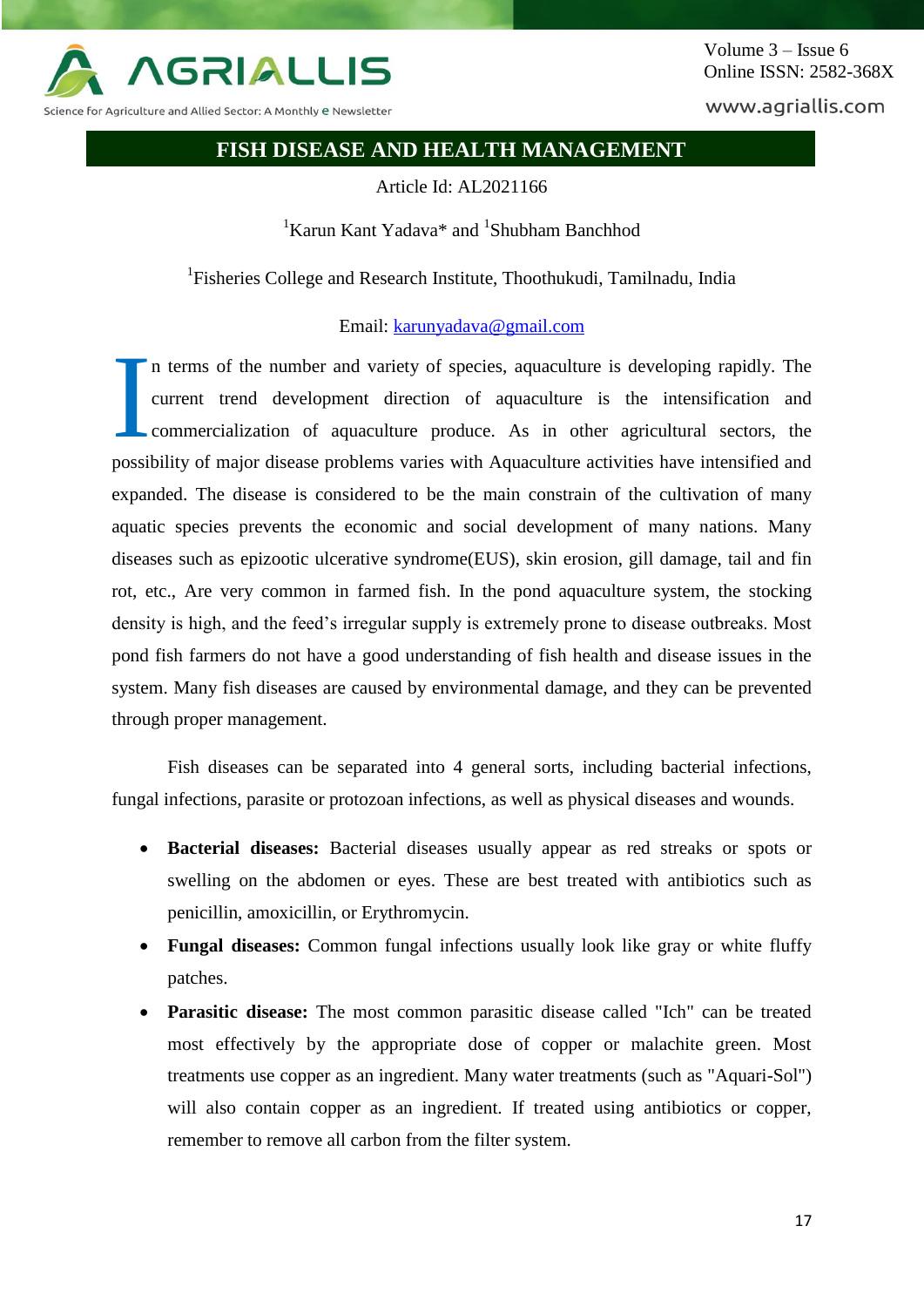

Volume 3 – Issue 6 Online ISSN: 2582-368X

www.agriallis.com

# **FISH DISEASE AND HEALTH MANAGEMENT**

Article Id: AL2021166

<sup>1</sup>Karun Kant Yadava\* and <sup>1</sup>Shubham Banchhod

<sup>1</sup>Fisheries College and Research Institute, Thoothukudi, Tamilnadu, India

Email: [karunyadava@gmail.com](mailto:karunyadava@gmail.com)

n terms of the number and variety of species, aquaculture is developing rapidly. The current trend development direction of aquaculture is the intensification and commercialization of aquaculture produce. As in other agricultural sectors, the possibility of major disease problems varies with Aquaculture activities have intensified and expanded. The disease is considered to be the main constrain of the cultivation of many aquatic species prevents the economic and social development of many nations. Many diseases such as epizootic ulcerative syndrome(EUS), skin erosion, gill damage, tail and fin rot, etc., Are very common in farmed fish. In the pond aquaculture system, the stocking density is high, and the feed's irregular supply is extremely prone to disease outbreaks. Most pond fish farmers do not have a good understanding of fish health and disease issues in the system. Many fish diseases are caused by environmental damage, and they can be prevented through proper management. I

Fish diseases can be separated into 4 general sorts, including bacterial infections, fungal infections, parasite or protozoan infections, as well as physical diseases and wounds.

- **Bacterial diseases:** Bacterial diseases usually appear as red streaks or spots or swelling on the abdomen or eyes. These are best treated with antibiotics such as penicillin, amoxicillin, or Erythromycin.
- **Fungal diseases:** Common fungal infections usually look like gray or white fluffy patches.
- **Parasitic disease:** The most common parasitic disease called "Ich" can be treated most effectively by the appropriate dose of copper or malachite green. Most treatments use copper as an ingredient. Many water treatments (such as "Aquari-Sol") will also contain copper as an ingredient. If treated using antibiotics or copper, remember to remove all carbon from the filter system.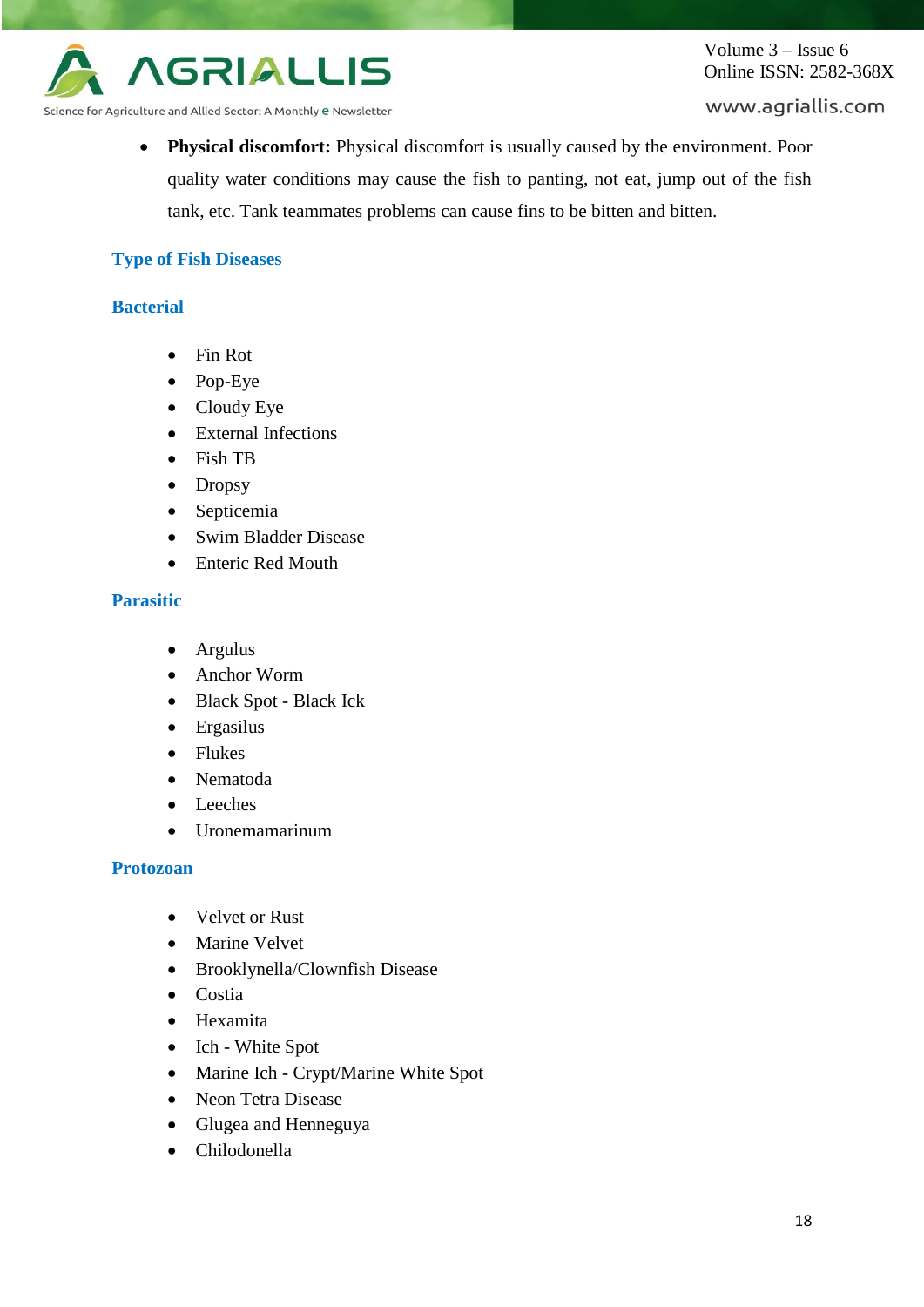

Volume 3 – Issue 6 Online ISSN: 2582-368X

www.agriallis.com

Science for Agriculture and Allied Sector: A Monthly e Newsletter

 **Physical discomfort:** Physical discomfort is usually caused by the environment. Poor quality water conditions may cause the fish to panting, not eat, jump out of the fish tank, etc. Tank teammates problems can cause fins to be bitten and bitten.

## **Type of Fish Diseases**

### **Bacterial**

- Fin Rot
- Pop-Eye
- Cloudy Eye
- External Infections
- Fish TB
- Dropsy
- Septicemia
- Swim Bladder Disease
- Enteric Red Mouth

## **Parasitic**

- Argulus
- Anchor Worm
- Black Spot Black Ick
- Ergasilus
- Flukes
- Nematoda
- Leeches
- Uronemamarinum

#### **Protozoan**

- Velvet or Rust
- Marine Velvet
- Brooklynella/Clownfish Disease
- Costia
- Hexamita
- Ich White Spot
- Marine Ich Crypt/Marine White Spot
- Neon Tetra Disease
- Glugea and Henneguya
- Chilodonella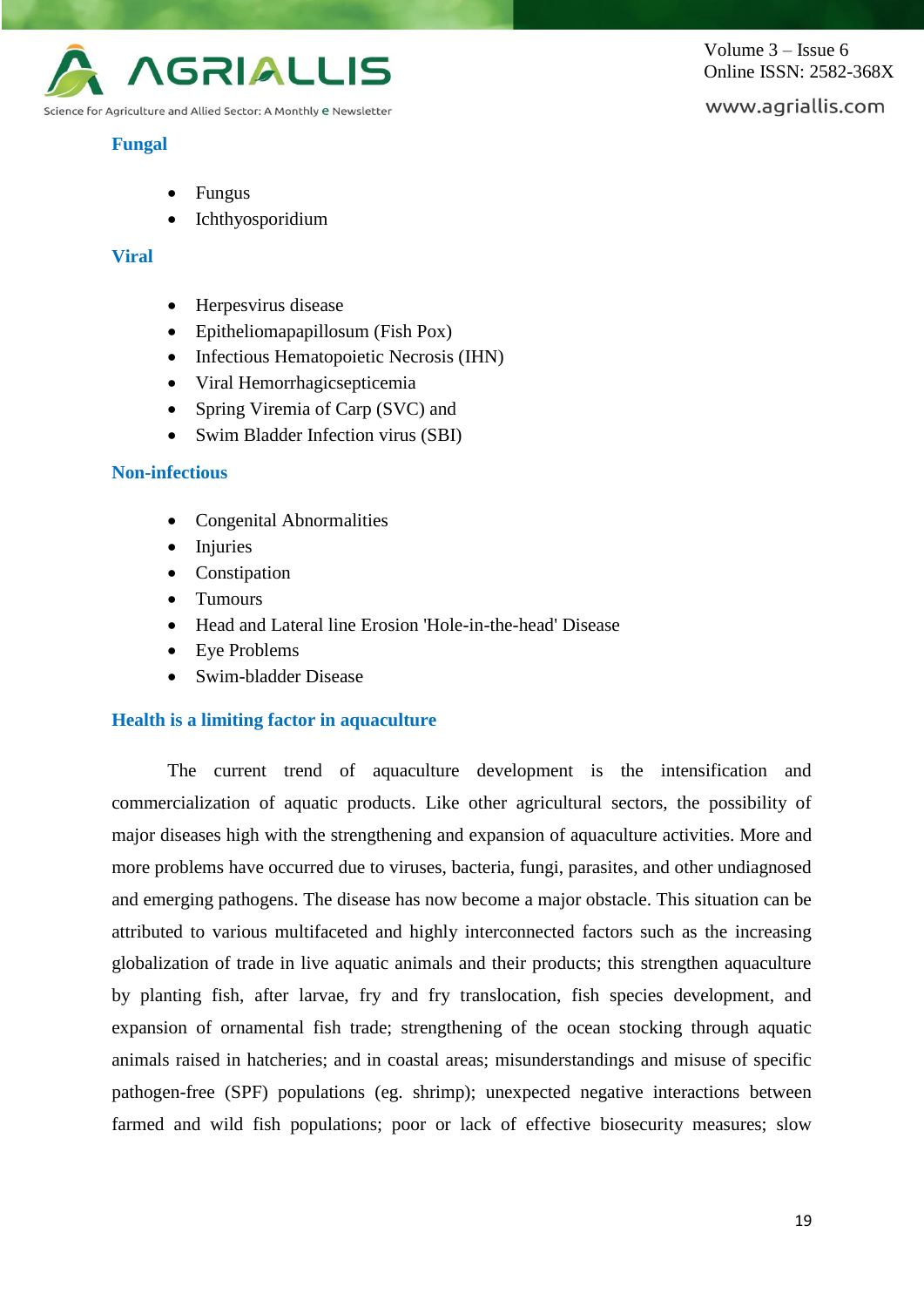

## **Fungal**

Volume 3 – Issue 6 Online ISSN: 2582-368X

# www.agriallis.com

- Fungus
- Ichthyosporidium

## **Viral**

- Herpesvirus disease
- Epitheliomapapillosum (Fish Pox)
- Infectious Hematopoietic Necrosis (IHN)
- Viral Hemorrhagicsepticemia
- Spring Viremia of Carp (SVC) and
- Swim Bladder Infection virus (SBI)

## **Non-infectious**

- Congenital Abnormalities
- **Injuries**
- Constipation
- Tumours
- Head and Lateral line Erosion 'Hole-in-the-head' Disease
- Eye Problems
- Swim-bladder Disease

## **Health is a limiting factor in aquaculture**

The current trend of aquaculture development is the intensification and commercialization of aquatic products. Like other agricultural sectors, the possibility of major diseases high with the strengthening and expansion of aquaculture activities. More and more problems have occurred due to viruses, bacteria, fungi, parasites, and other undiagnosed and emerging pathogens. The disease has now become a major obstacle. This situation can be attributed to various multifaceted and highly interconnected factors such as the increasing globalization of trade in live aquatic animals and their products; this strengthen aquaculture by planting fish, after larvae, fry and fry translocation, fish species development, and expansion of ornamental fish trade; strengthening of the ocean stocking through aquatic animals raised in hatcheries; and in coastal areas; misunderstandings and misuse of specific pathogen-free (SPF) populations (eg. shrimp); unexpected negative interactions between farmed and wild fish populations; poor or lack of effective biosecurity measures; slow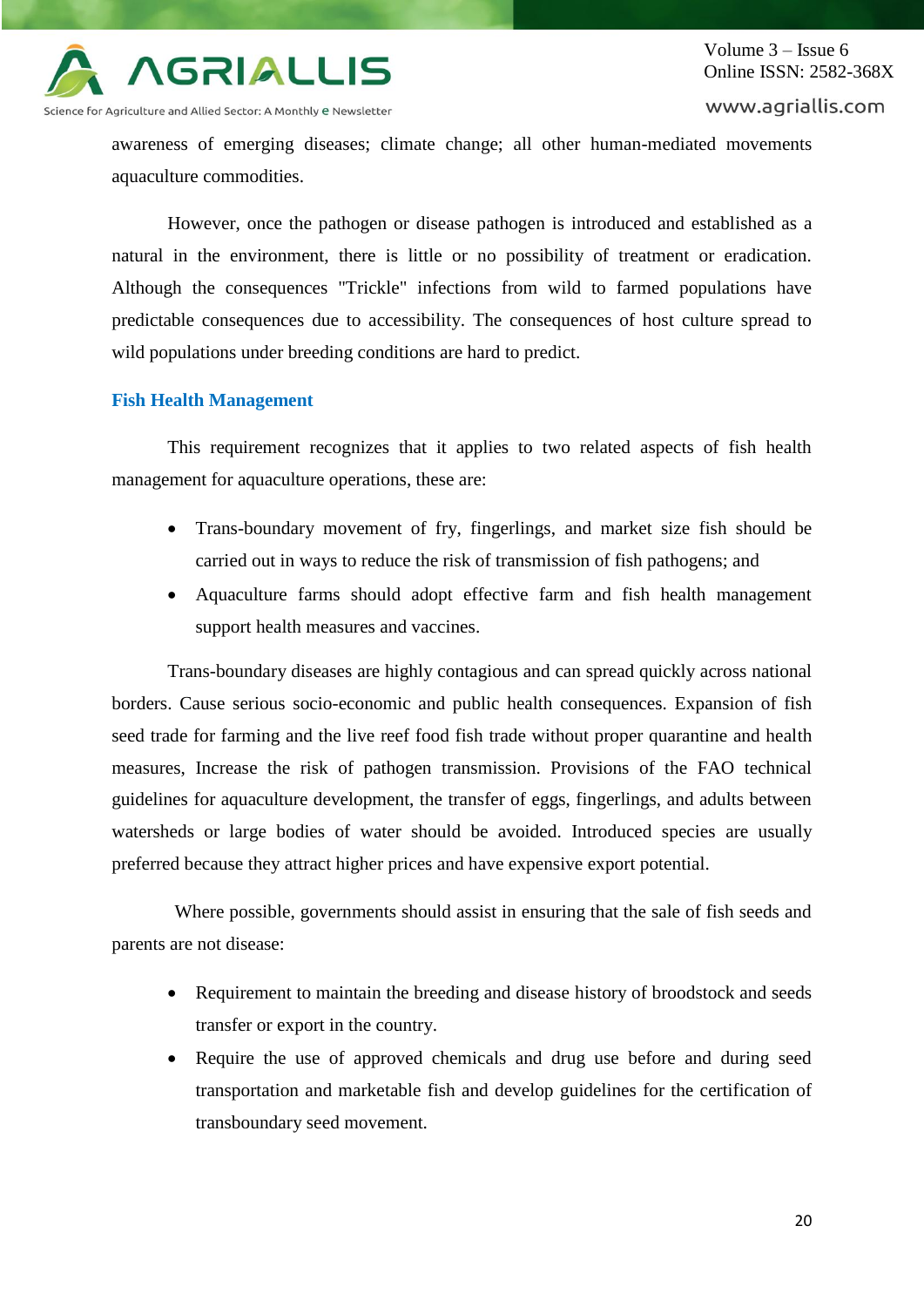

awareness of emerging diseases; climate change; all other human-mediated movements aquaculture commodities.

However, once the pathogen or disease pathogen is introduced and established as a natural in the environment, there is little or no possibility of treatment or eradication. Although the consequences "Trickle" infections from wild to farmed populations have predictable consequences due to accessibility. The consequences of host culture spread to wild populations under breeding conditions are hard to predict.

## **Fish Health Management**

This requirement recognizes that it applies to two related aspects of fish health management for aquaculture operations, these are:

- Trans-boundary movement of fry, fingerlings, and market size fish should be carried out in ways to reduce the risk of transmission of fish pathogens; and
- Aquaculture farms should adopt effective farm and fish health management support health measures and vaccines.

Trans-boundary diseases are highly contagious and can spread quickly across national borders. Cause serious socio-economic and public health consequences. Expansion of fish seed trade for farming and the live reef food fish trade without proper quarantine and health measures, Increase the risk of pathogen transmission. Provisions of the FAO technical guidelines for aquaculture development, the transfer of eggs, fingerlings, and adults between watersheds or large bodies of water should be avoided. Introduced species are usually preferred because they attract higher prices and have expensive export potential.

Where possible, governments should assist in ensuring that the sale of fish seeds and parents are not disease:

- Requirement to maintain the breeding and disease history of broodstock and seeds transfer or export in the country.
- Require the use of approved chemicals and drug use before and during seed transportation and marketable fish and develop guidelines for the certification of transboundary seed movement.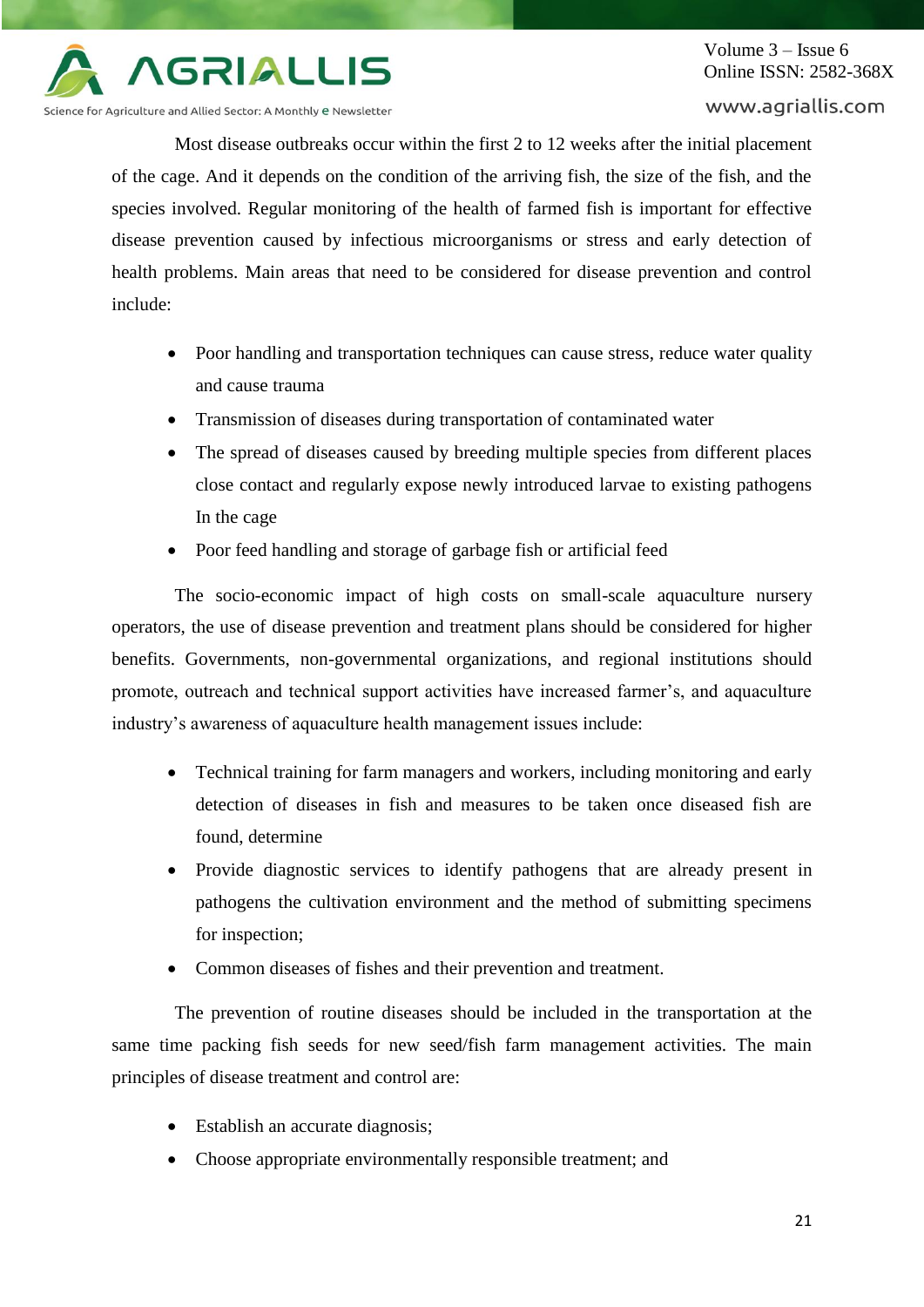

Science for Agriculture and Allied Sector: A Monthly e Newsletter

#### www.agriallis.com

Most disease outbreaks occur within the first 2 to 12 weeks after the initial placement of the cage. And it depends on the condition of the arriving fish, the size of the fish, and the species involved. Regular monitoring of the health of farmed fish is important for effective disease prevention caused by infectious microorganisms or stress and early detection of health problems. Main areas that need to be considered for disease prevention and control include:

- Poor handling and transportation techniques can cause stress, reduce water quality and cause trauma
- Transmission of diseases during transportation of contaminated water
- The spread of diseases caused by breeding multiple species from different places close contact and regularly expose newly introduced larvae to existing pathogens In the cage
- Poor feed handling and storage of garbage fish or artificial feed

The socio-economic impact of high costs on small-scale aquaculture nursery operators, the use of disease prevention and treatment plans should be considered for higher benefits. Governments, non-governmental organizations, and regional institutions should promote, outreach and technical support activities have increased farmer's, and aquaculture industry's awareness of aquaculture health management issues include:

- Technical training for farm managers and workers, including monitoring and early detection of diseases in fish and measures to be taken once diseased fish are found, determine
- Provide diagnostic services to identify pathogens that are already present in pathogens the cultivation environment and the method of submitting specimens for inspection;
- Common diseases of fishes and their prevention and treatment.

The prevention of routine diseases should be included in the transportation at the same time packing fish seeds for new seed/fish farm management activities. The main principles of disease treatment and control are:

- Establish an accurate diagnosis;
- Choose appropriate environmentally responsible treatment; and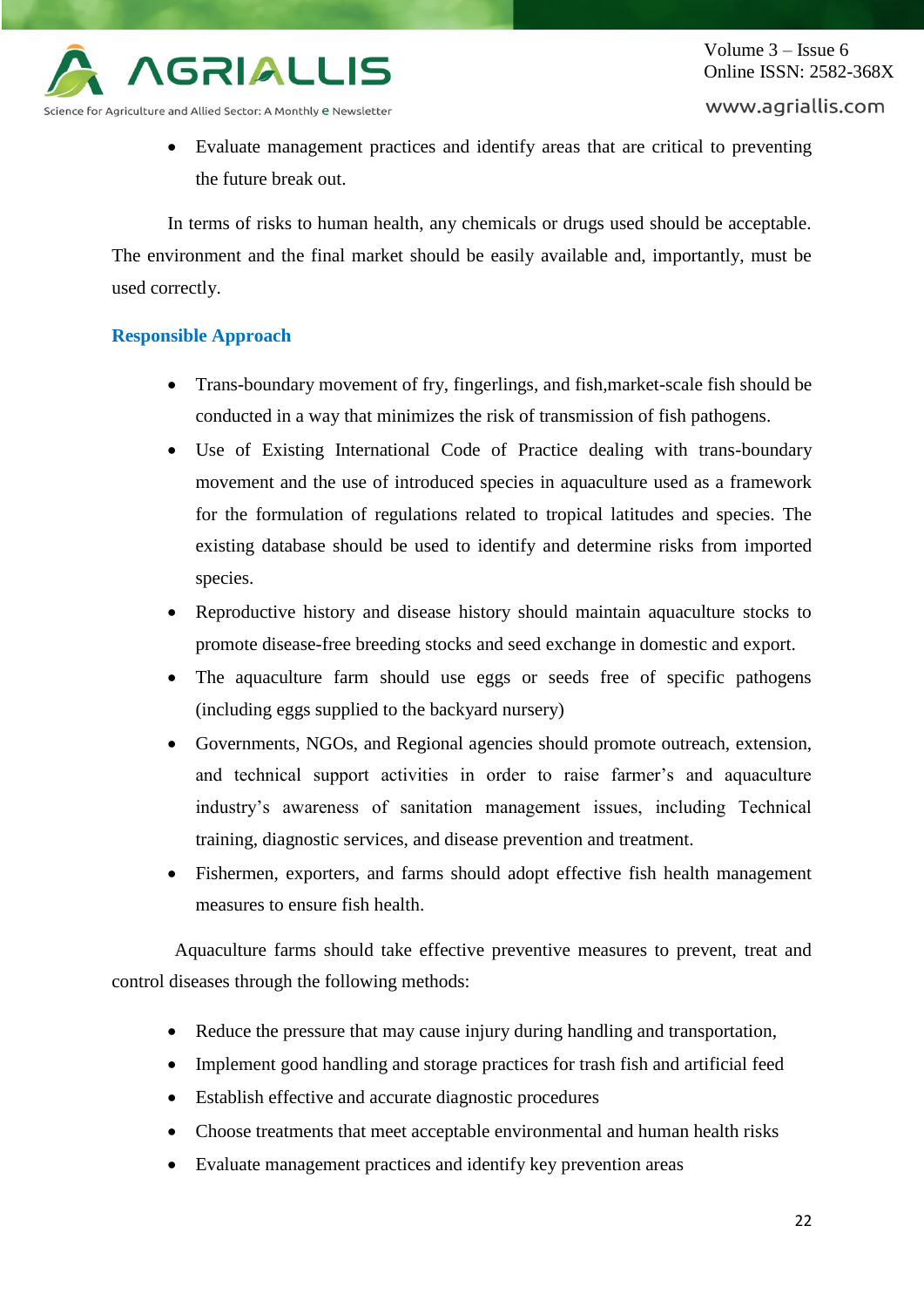

#### www.agriallis.com

 Evaluate management practices and identify areas that are critical to preventing the future break out.

In terms of risks to human health, any chemicals or drugs used should be acceptable. The environment and the final market should be easily available and, importantly, must be used correctly.

### **Responsible Approach**

- Trans-boundary movement of fry, fingerlings, and fish,market-scale fish should be conducted in a way that minimizes the risk of transmission of fish pathogens.
- Use of Existing International Code of Practice dealing with trans-boundary movement and the use of introduced species in aquaculture used as a framework for the formulation of regulations related to tropical latitudes and species. The existing database should be used to identify and determine risks from imported species.
- Reproductive history and disease history should maintain aquaculture stocks to promote disease-free breeding stocks and seed exchange in domestic and export.
- The aquaculture farm should use eggs or seeds free of specific pathogens (including eggs supplied to the backyard nursery)
- Governments, NGOs, and Regional agencies should promote outreach, extension, and technical support activities in order to raise farmer's and aquaculture industry's awareness of sanitation management issues, including Technical training, diagnostic services, and disease prevention and treatment.
- Fishermen, exporters, and farms should adopt effective fish health management measures to ensure fish health.

Aquaculture farms should take effective preventive measures to prevent, treat and control diseases through the following methods:

- Reduce the pressure that may cause injury during handling and transportation,
- Implement good handling and storage practices for trash fish and artificial feed
- Establish effective and accurate diagnostic procedures
- Choose treatments that meet acceptable environmental and human health risks
- Evaluate management practices and identify key prevention areas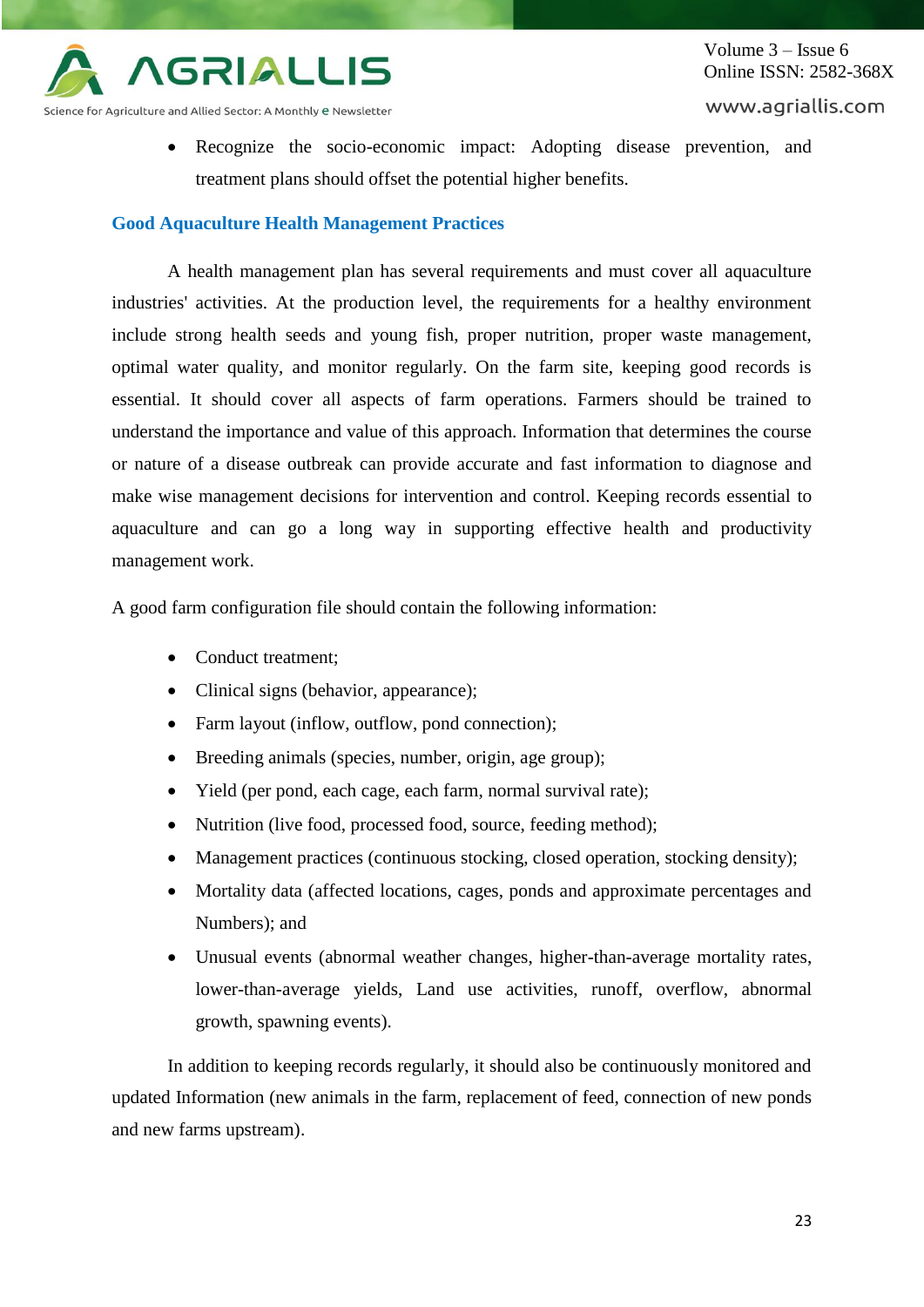

Science for Agriculture and Allied Sector: A Monthly e Newsletter

 Recognize the socio-economic impact: Adopting disease prevention, and treatment plans should offset the potential higher benefits.

# **Good Aquaculture Health Management Practices**

A health management plan has several requirements and must cover all aquaculture industries' activities. At the production level, the requirements for a healthy environment include strong health seeds and young fish, proper nutrition, proper waste management, optimal water quality, and monitor regularly. On the farm site, keeping good records is essential. It should cover all aspects of farm operations. Farmers should be trained to understand the importance and value of this approach. Information that determines the course or nature of a disease outbreak can provide accurate and fast information to diagnose and make wise management decisions for intervention and control. Keeping records essential to aquaculture and can go a long way in supporting effective health and productivity management work.

A good farm configuration file should contain the following information:

- Conduct treatment;
- Clinical signs (behavior, appearance);
- Farm layout (inflow, outflow, pond connection);
- Breeding animals (species, number, origin, age group);
- Yield (per pond, each cage, each farm, normal survival rate);
- Nutrition (live food, processed food, source, feeding method);
- Management practices (continuous stocking, closed operation, stocking density);
- Mortality data (affected locations, cages, ponds and approximate percentages and Numbers); and
- Unusual events (abnormal weather changes, higher-than-average mortality rates, lower-than-average yields, Land use activities, runoff, overflow, abnormal growth, spawning events).

In addition to keeping records regularly, it should also be continuously monitored and updated Information (new animals in the farm, replacement of feed, connection of new ponds and new farms upstream).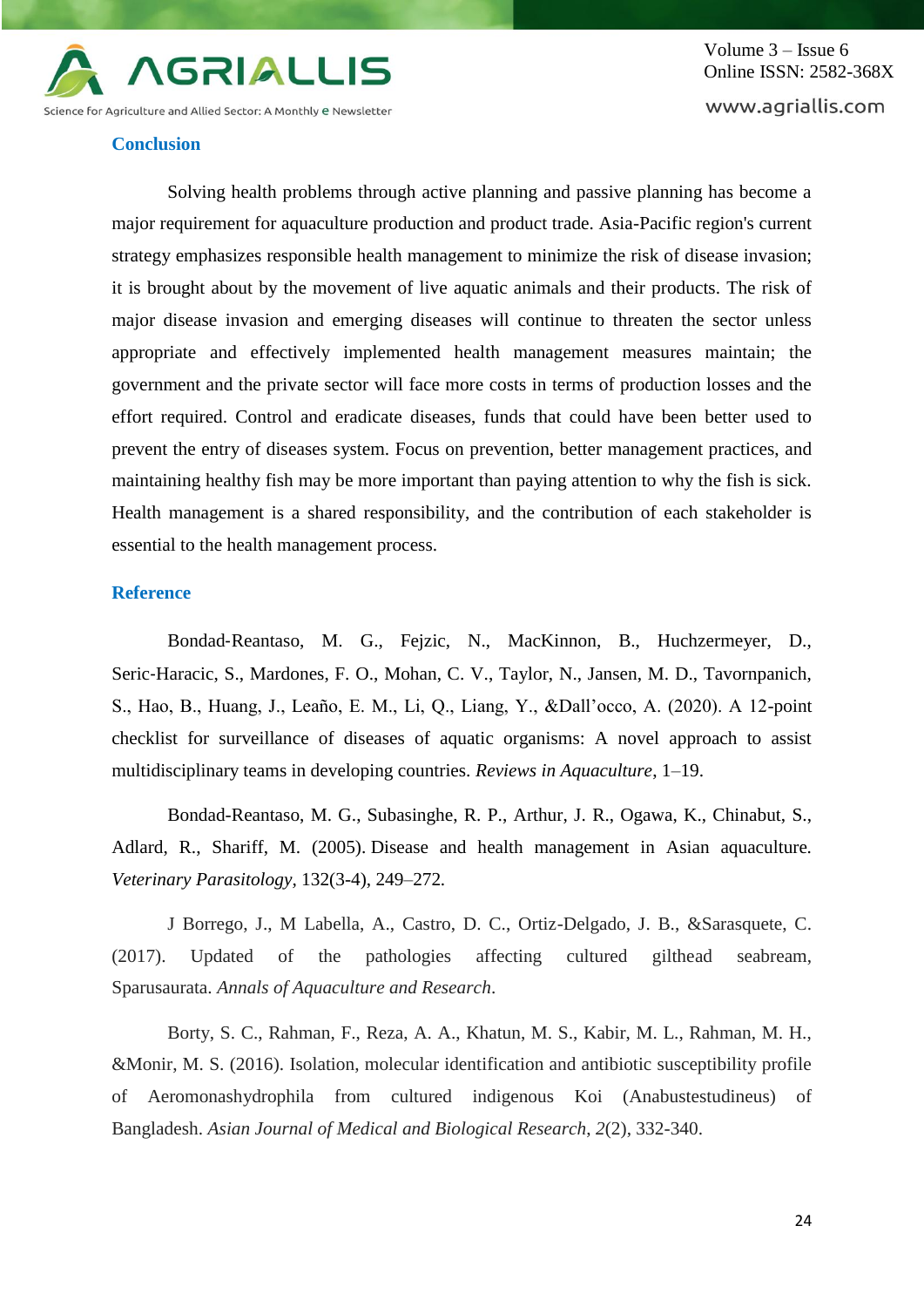

Volume 3 – Issue 6 Online ISSN: 2582-368X www.agriallis.com

#### **Conclusion**

Solving health problems through active planning and passive planning has become a major requirement for aquaculture production and product trade. Asia-Pacific region's current strategy emphasizes responsible health management to minimize the risk of disease invasion; it is brought about by the movement of live aquatic animals and their products. The risk of major disease invasion and emerging diseases will continue to threaten the sector unless appropriate and effectively implemented health management measures maintain; the government and the private sector will face more costs in terms of production losses and the effort required. Control and eradicate diseases, funds that could have been better used to prevent the entry of diseases system. Focus on prevention, better management practices, and maintaining healthy fish may be more important than paying attention to why the fish is sick. Health management is a shared responsibility, and the contribution of each stakeholder is essential to the health management process.

#### **Reference**

Bondad‐Reantaso, M. G., Fejzic, N., MacKinnon, B., Huchzermeyer, D., Seric‐Haracic, S., Mardones, F. O., Mohan, C. V., Taylor, N., Jansen, M. D., Tavornpanich, S., Hao, B., Huang, J., Leaño, E. M., Li, Q., Liang, Y., &Dall'occo, A. (2020). A 12-point checklist for surveillance of diseases of aquatic organisms: A novel approach to assist multidisciplinary teams in developing countries. *Reviews in Aquaculture*, 1–19.

Bondad-Reantaso, M. G., Subasinghe, R. P., Arthur, J. R., Ogawa, K., Chinabut, S., Adlard, R., Shariff, M. (2005). Disease and health management in Asian aquaculture*. Veterinary Parasitology,* 132(3-4), 249–272*.*

J Borrego, J., M Labella, A., Castro, D. C., Ortiz-Delgado, J. B., &Sarasquete, C. (2017). Updated of the pathologies affecting cultured gilthead seabream, Sparusaurata. *Annals of Aquaculture and Research*.

Borty, S. C., Rahman, F., Reza, A. A., Khatun, M. S., Kabir, M. L., Rahman, M. H., &Monir, M. S. (2016). Isolation, molecular identification and antibiotic susceptibility profile of Aeromonashydrophila from cultured indigenous Koi (Anabustestudineus) of Bangladesh. *Asian Journal of Medical and Biological Research*, *2*(2), 332-340.